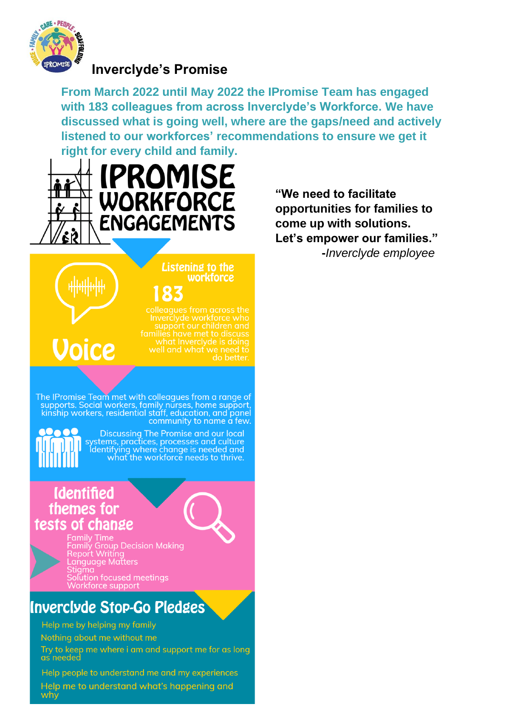

## **Invercivde's Promise**

From March 2022 until May 2022 the IPromise Team has engaged with 183 colleagues from across Inverclyde's Workforce. We have discussed what is going well, where are the gaps/need and actively listened to our workforces' recommendations to ensure we get it right for every child and family.



"We need to facilitate opportunities for families to come up with solutions. Let's empower our families." -Inverclyde employee

# **Voice**

families have met to discuss<br>what Inverclyde is doing

**Listening to the** workforce

The IPromise Team met with colleagues from a range of supports. Social workers, family nurses, home support,<br>kinship workers, residential staff, education, and panel community to name a few.

<u>00000</u>

Discussing The Promise and our local<br>systems, practices, processes and culture ldentifying where change is needed and what the workforce needs to thrive.

183

## **Identified** themes for tests of change



Family Time<br>Family Group Decision Making<br>Report Writing<br>Language Matters Solution focused meetings Vorkforce suppo

# Inverclyde Stop-Go Pledges

Help me by helping my family

Nothing about me without me

Try to keep me where i am and support me for as long as needed

Help people to understand me and my experiences Help me to understand what's happening and why